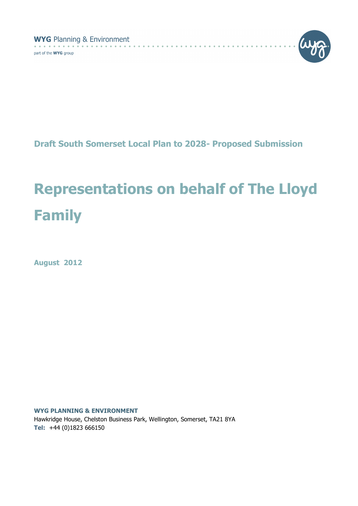**WYG** Planning & Environment  $\sim$   $\sim$   $\sim$ 

part of the **WYG** group



Draft South Somerset Local Plan to 2028- Proposed Submission

. . . . . . . .

# Representations on behalf of The Lloyd Family

August 2012

WYG PLANNING & ENVIRONMENT Hawkridge House, Chelston Business Park, Wellington, Somerset, TA21 8YA Tel: +44 (0)1823 666150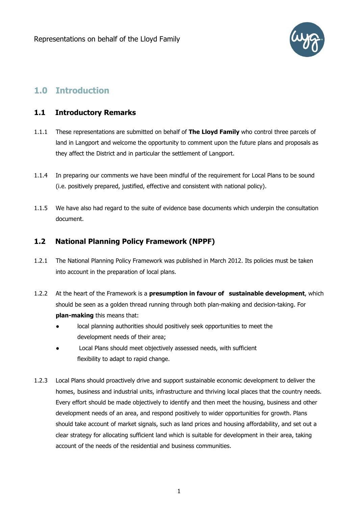

## 1.0 Introduction

#### 1.1 Introductory Remarks

- 1.1.1 These representations are submitted on behalf of The Lloyd Family who control three parcels of land in Langport and welcome the opportunity to comment upon the future plans and proposals as they affect the District and in particular the settlement of Langport.
- 1.1.4 In preparing our comments we have been mindful of the requirement for Local Plans to be sound (i.e. positively prepared, justified, effective and consistent with national policy).
- 1.1.5 We have also had regard to the suite of evidence base documents which underpin the consultation document.

### 1.2 National Planning Policy Framework (NPPF)

- 1.2.1 The National Planning Policy Framework was published in March 2012. Its policies must be taken into account in the preparation of local plans.
- 1.2.2 At the heart of the Framework is a **presumption in favour of sustainable development**, which should be seen as a golden thread running through both plan-making and decision-taking. For plan-making this means that:
	- local planning authorities should positively seek opportunities to meet the development needs of their area;
	- Local Plans should meet objectively assessed needs, with sufficient flexibility to adapt to rapid change.
- 1.2.3 Local Plans should proactively drive and support sustainable economic development to deliver the homes, business and industrial units, infrastructure and thriving local places that the country needs. Every effort should be made objectively to identify and then meet the housing, business and other development needs of an area, and respond positively to wider opportunities for growth. Plans should take account of market signals, such as land prices and housing affordability, and set out a clear strategy for allocating sufficient land which is suitable for development in their area, taking account of the needs of the residential and business communities.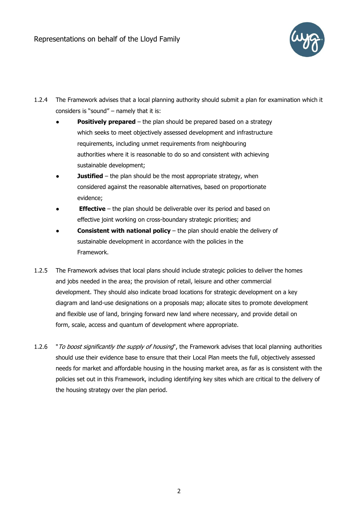

- 1.2.4 The Framework advises that a local planning authority should submit a plan for examination which it considers is "sound" – namely that it is:
	- **Positively prepared** the plan should be prepared based on a strategy which seeks to meet objectively assessed development and infrastructure requirements, including unmet requirements from neighbouring authorities where it is reasonable to do so and consistent with achieving sustainable development;
	- **Justified** the plan should be the most appropriate strategy, when considered against the reasonable alternatives, based on proportionate evidence;
	- **Effective** the plan should be deliverable over its period and based on effective joint working on cross-boundary strategic priorities; and
	- **Consistent with national policy** the plan should enable the delivery of sustainable development in accordance with the policies in the Framework.
- 1.2.5 The Framework advises that local plans should include strategic policies to deliver the homes and jobs needed in the area; the provision of retail, leisure and other commercial development. They should also indicate broad locations for strategic development on a key diagram and land-use designations on a proposals map; allocate sites to promote development and flexible use of land, bringing forward new land where necessary, and provide detail on form, scale, access and quantum of development where appropriate.
- 1.2.6 "*To boost significantly the supply of housing*", the Framework advises that local planning authorities should use their evidence base to ensure that their Local Plan meets the full, objectively assessed needs for market and affordable housing in the housing market area, as far as is consistent with the policies set out in this Framework, including identifying key sites which are critical to the delivery of the housing strategy over the plan period.